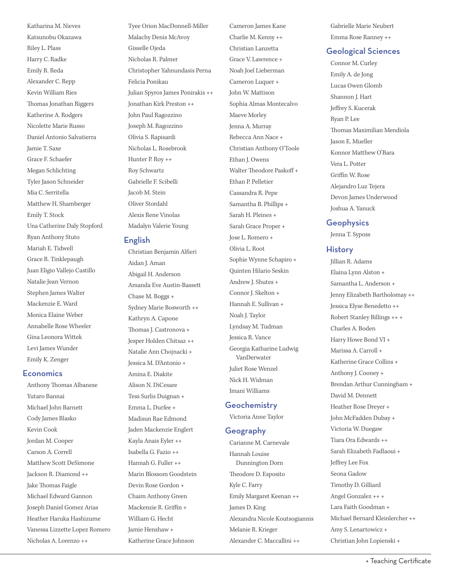Katharina M. Nieves Katsunobu Okazawa Riley L. Plass Harry C. Radke Emily R. Reda Alexander C. Repp Kevin William Ries Thomas Jonathan Riggers Katherine A. Rodgers Nicolette Marie Russo Daniel Antonio Salvatierra Jamie T. Saxe Grace F. Schaefer Megan Schlichting Tyler Jason Schneider Mia C. Serritella Matthew H. Shamberger Emily T. Stock Una Catherine Daly Stopford Ryan Anthony Stuto Mariah E. Tidwell Grace R. Tinklepaugh Juan Eligio Vallejo Castillo Natalie Jean Vernon Stephen James Walter Mackenzie E. Ward Monica Elaine Weber Annabelle Rose Wheeler Gina Leonora Wittek Levi James Wunder Emily K. Zenger

### **Economics**

Anthony Thomas Albanese Yutaro Bannai Michael John Barnett Cody James Blasko Kevin Cook Jordan M. Cooper Carson A. Correll Matthew Scott DeSimone Jackson R. Diamond ++ Jake Thomas Faigle Michael Edward Gannon Joseph Daniel Gomez Arias Heather Haruka Hashizume Vanessa Lizzette Lopez Romero Nicholas A. Lorenzo ++

Tyee Orion MacDonnell-Miller Malachy Denis McAvoy Gisselle Ojeda Nicholas R. Palmer Christopher Yahnundasis Perna Felicia Ponikau Julian Spyros James Ponirakis ++ Jonathan Kirk Preston ++ John Paul Ragozzino Joseph M. Ragozzino Olivia S. Rapisardi Nicholas L. Rosebrook Hunter P. Roy ++ Roy Schwartz Gabrielle F. Scibelli Jacob M. Stein Oliver Stordahl Alexis Rene Vinolas Madalyn Valerie Young

### English

Christian Benjamin Alferi Aidan J. Aman Abigail H. Anderson Amanda Eve Austin-Bassett Chase M. Boggs + Sydney Marie Bosworth ++ Kathryn A. Capone Thomas J. Castronova + Jesper Holden Chitsaz ++ Natalie Ann Chojnacki + Jessica M. D'Antonio + Amina E. Diakite Alison N. DiCesare Tess Surlis Duignan + Emma L. Durfee + Madisun Rae Edmond Jaden Mackenzie Englert Kayla Anais Eyler ++ Isabella G. Fazio ++ Hannah G. Fuller ++ Marin Blossom Goodstein Devin Rose Gordon + Chaim Anthony Green Mackenzie R. Griffin + William G. Hecht Jamie Henshaw + Katherine Grace Johnson

Cameron James Kane Charlie M. Kenny ++ Christian Lanzetta Grace V. Lawrence + Noah Joel Lieberman Cameron Luquer + John W. Mattison Sophia Almas Montecalvo Maeve Morley Jenna A. Murray Rebecca Ann Nace + Christian Anthony O'Toole Ethan J. Owens Walter Theodore Paskoff + Ethan P. Pelletier Cassandra R. Pepe Samantha B. Phillips + Sarah H. Pleines + Sarah Grace Proper + Jose L. Romero + Olivia L. Root Sophie Wynne Schapiro + Quinten Hilario Seskin Andrew J. Shutes + Connor J. Skelton + Hannah E. Sullivan + Noah J. Taylor Lyndsay M. Tudman Jessica R. Vance Georgia Katharine Ludwig VanDerwater Juliet Rose Wenzel Nick H. Widman Imani Williams

### **Geochemistry**

Victoria Anne Taylor

### Geography

Carianne M. Carnevale Hannah Louise Dunnington Dorn Theodore D. Esposito Kyle C. Farry Emily Margaret Keenan ++ James D. King Alexandra Nicole Koutsogiannis Melanie R. Krieger Alexander C. Maccallini ++

Gabrielle Marie Neubert Emma Rose Ranney ++

### Geological Sciences

Connor M. Curley Emily A. de Jong Lucas Owen Glomb Shannon J. Hart Jefrey S. Kucerak Ryan P. Lee Thomas Maximilian Mendiola Jason E. Mueller Konnor Matthew O'Bara Vera L. Potter Griffin W. Rose Alejandro Luz Tejera Devon James Underwood Joshua A. Yanuck

### **Geophysics**

Jenna T. Syposs

### **History**

Jillian R. Adams Elaina Lynn Alston + Samantha L. Anderson + Jenny Elizabeth Bartholomay ++ Jessica Elyse Benedetto ++ Robert Stanley Billings ++ + Charles A. Boden Harry Howe Bond VI + Marissa A. Carroll + Katherine Grace Collins + Anthony J. Cooney + Brendan Arthur Cunningham + David M. Dennett Heather Rose Dreyer + John McFadden Dubay + Victoria W. Duegaw Tiara Ora Edwards ++ Sarah Elizabeth Fadlaoui + Jefrey Lee Fox Seona Gadow Timothy D. Gilliard Angel Gonzalez ++ + Lara Faith Goodman + Michael Bernard Kleinlercher ++ Amy S. Lenartowicz + Christian John Lopienski +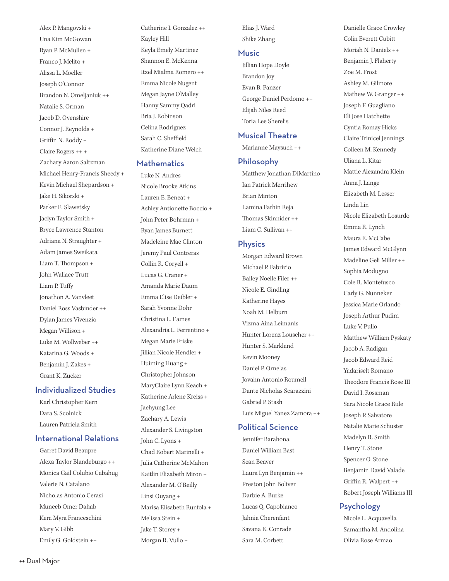Alex P. Mangovski + Una Kim McGowan Ryan P. McMullen + Franco J. Melito + Alissa L. Moeller Joseph O'Connor Brandon N. Omeljaniuk ++ Natalie S. Orman Jacob D. Ovenshire Connor J. Reynolds + Griffin N. Roddy + Claire Rogers ++ + Zachary Aaron Saltzman Michael Henry-Francis Sheedy + Kevin Michael Shepardson + Jake H. Sikorski + Parker E. Slawetsky Jaclyn Taylor Smith + Bryce Lawrence Stanton Adriana N. Straughter + Adam James Sweikata Liam T. Thompson + John Wallace Trutt Liam P. Tufy Jonathon A. Vanvleet Daniel Ross Vasbinder ++ Dylan James Vivenzio Megan Willison + Luke M. Wollweber ++ Katarina G. Woods + Benjamin J. Zakes + Grant K. Zucker

### Individualized Studies

Karl Christopher Kern Dara S. Scolnick Lauren Patricia Smith

### International Relations

Garret David Beaupre Alexa Taylor Blandeburgo ++ Monica Gail Colubio Cabahug Valerie N. Catalano Nicholas Antonio Cerasi Muneeb Omer Dahab Kera Myra Franceschini Mary V. Gibb Emily G. Goldstein ++

Catherine I. Gonzalez ++ Kayley Hill Keyla Emely Martinez Shannon E. McKenna Itzel Mialma Romero ++ Emma Nicole Nugent Megan Jayne O'Malley Hanny Sammy Qadri Bria J. Robinson Celina Rodriguez Sarah C. Sheffield Katherine Diane Welch

### **Mathematics**

Luke N. Andres Nicole Brooke Atkins Lauren E. Beneat + Ashley Antionette Boccio + John Peter Bohrman + Ryan James Burnett Madeleine Mae Clinton Jeremy Paul Contreras Collin R. Coryell + Lucas G. Craner + Amanda Marie Daum Emma Elise Deibler + Sarah Yvonne Dohr Christina L. Eames Alexandria L. Ferrentino + Megan Marie Friske Jillian Nicole Hendler + Huiming Huang + Christopher Johnson MaryClaire Lynn Keach + Katherine Arlene Kreiss + Jaehyung Lee Zachary A. Lewis Alexander S. Livingston John C. Lyons + Chad Robert Marinelli + Julia Catherine McMahon Kaitlin Elizabeth Miron + Alexander M. O'Reilly Linsi Ouyang + Marisa Elisabeth Runfola + Melissa Stein + Jake T. Storey + Morgan R. Vullo +

Elias J. Ward Shike Zhang

### Music

Jillian Hope Doyle Brandon Joy Evan B. Panzer George Daniel Perdomo ++ Elijah Niles Reed Toria Lee Sherelis

### Musical Theatre

Marianne Maysuch ++

### Philosophy

Matthew Jonathan DiMartino Ian Patrick Merrihew Brian Minton Lamina Farhin Reja Thomas Skinnider ++ Liam C. Sullivan ++

### **Physics**

Morgan Edward Brown Michael P. Fabrizio Bailey Noelle Filer ++ Nicole E. Gindling Katherine Hayes Noah M. Helburn Vizma Aina Leimanis Hunter Lorenz Louscher ++ Hunter S. Markland Kevin Mooney Daniel P. Ornelas Jovahn Antonio Roumell Dante Nicholas Scarazzini Gabriel P. Stash Luis Miguel Yanez Zamora ++

# Political Science

Jennifer Barahona Daniel William Bast Sean Beaver Laura Lyn Benjamin ++ Preston John Boliver Darbie A. Burke Lucas Q. Capobianco Jahnia Cherenfant Savana R. Conrade Sara M. Corbett

Danielle Grace Crowley Colin Everett Cubitt Moriah N. Daniels ++ Benjamin J. Flaherty Zoe M. Frost Ashley M. Gilmore Mathew W. Granger ++ Joseph F. Guagliano Eli Jose Hatchette Cyntia Romay Hicks Claire Trinicel Jennings Colleen M. Kennedy Uliana L. Kitar Mattie Alexandra Klein Anna J. Lange Elizabeth M. Lesser Linda Lin Nicole Elizabeth Losurdo Emma R. Lynch Maura E. McCabe James Edward McGlynn Madeline Geli Miller ++ Sophia Modugno Cole R. Montefusco Carly G. Nunneker Jessica Marie Orlando Joseph Arthur Pudim Luke V. Pullo Matthew William Pyskaty Jacob A. Radigan Jacob Edward Reid Yadariselt Romano Theodore Francis Rose III David I. Rossman Sara Nicole Grace Rule Joseph P. Salvatore Natalie Marie Schuster Madelyn R. Smith Henry T. Stone Spencer O. Stone Benjamin David Valade Griffin R. Walpert ++ Robert Joseph Williams III

# Psychology

Nicole L. Acquavella Samantha M. Andolina Olivia Rose Armao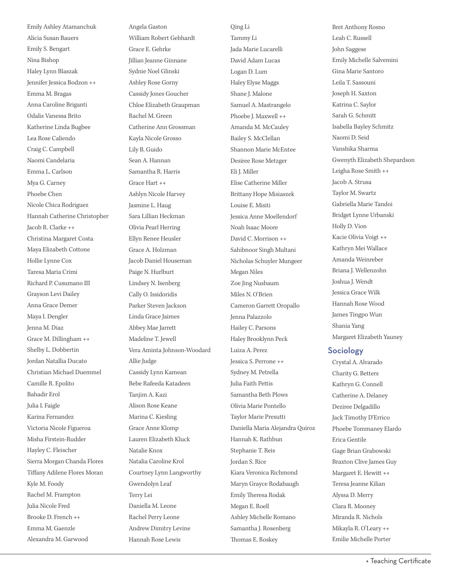Emily Ashley Atamanchuk Alicia Susan Bauers Emily S. Bengart Nina Bishop Haley Lynn Blaszak Jennifer Jessica Bodzon ++ Emma M. Bragas Anna Caroline Briganti Odalis Vanessa Brito Katherine Linda Bugbee Lea Rose Caliendo Craig C. Campbell Naomi Candelaria Emma L. Carlson Mya G. Carney Phoebe Chen Nicole Chica Rodriguez Hannah Catherine Christopher Jacob R. Clarke ++ Christina Margaret Costa Maya Elizabeth Cottone Hollie Lynne Cox Taresa Maria Crimi Richard P. Cusumano III Grayson Levi Dailey Anna Grace Demer Maya I. Dengler Jenna M. Diaz Grace M. Dillingham ++ Shelby L. Dobbertin Jordan Natallia Ducato Christian Michael Duemmel Camille R. Epolito Bahadir Erol Julia I. Faigle Karina Fernandez Victoria Nicole Figueroa Misha Firstein-Rudder Hayley C. Fleischer Sierra Morgan Chanda Flores Tifany Adilene Flores Moran Kyle M. Foody Rachel M. Frampton Julia Nicole Fred Brooke D. French ++ Emma M. Gaenzle Alexandra M. Garwood

Angela Gaston William Robert Gebhardt Grace E. Gehrke Jillian Jeanne Ginnane Sydnie Noel Glinski Ashley Rose Gorny Cassidy Jones Goucher Chloe Elizabeth Graupman Rachel M. Green Catherine Ann Grossman Kayla Nicole Grosso Lily B. Guido Sean A. Hannan Samantha R. Harris Grace Hart ++ Ashlyn Nicole Harvey Jasmine L. Haug Sara Lillian Heckman Olivia Pearl Herring Ellyn Renee Heusler Grace A. Holzman Jacob Daniel Houseman Paige N. Hurlburt Lindsey N. Isenberg Cally O. Issidoridis Parker Steven Jackson Linda Grace Jaimes Abbey Mae Jarrett Madeline T. Jewell Vera Aminta Johnson-Woodard Allie Judge Cassidy Lynn Kamean Bebe Rafeeda Katadeen Tanjim A. Kazi Alison Rose Keane Marina C. Kiesling Grace Anne Klomp Lauren Elizabeth Kluck Natalie Knox Natalia Caroline Krol Courtney Lynn Langworthy Gwendolyn Leaf Terry Lei Daniella M. Leone Rachel Perry Leone Andrew Dimitry Levine Hannah Rose Lewis

Qing Li Tammy Li Jada Marie Lucarelli David Adam Lucas Logan D. Lum Haley Elyse Maggs Shane J. Malone Samuel A. Mastrangelo Phoebe J. Maxwell ++ Amanda M. McCauley Bailey S. McClellan Shannon Marie McEntee Desiree Rose Metzger Eli J. Miller Elise Catherine Miller Brittany Hope Misiaszek Louise E. Misiti Jessica Anne Moellendorf Noah Isaac Moore David C. Morrison ++ Sahibnoor Singh Multani Nicholas Schuyler Mungeer Megan Niles Zoe Jing Nusbaum Miles N. O'Brien Cameron Garrett Oropallo Jenna Palazzolo Hailey C. Parsons Haley Brooklynn Peck Luiza A. Perez Jessica S. Perrone ++ Sydney M. Petrella Julia Faith Pettis Samantha Beth Plows Olivia Marie Pontello Taylor Marie Presutti Daniella Maria Alejandra Quiroz Hannah K. Rathbun Stephanie T. Reis Jordan S. Rice Kiara Veronica Richmond Maryn Grayce Rodabaugh Emily Theresa Rodak Megan E. Roell Ashley Michelle Romano Samantha J. Rosenberg Thomas E. Roskey

Bret Anthony Rosno Leah C. Russell John Saggese Emily Michelle Salvemini Gina Marie Santoro Leila T. Sassouni Joseph H. Saxton Katrina C. Saylor Sarah G. Schmitt Isabella Bayley Schmitz Naomi D. Seid Vanshika Sharma Gwenyth Elizabeth Shepardson Leigha Rose Smith ++ Jacob A. Strusa Taylor M. Swartz Gabriella Marie Tandoi Bridget Lynne Urbanski Holly D. Vion Kacie Olivia Voigt ++ Kathryn Mei Wallace Amanda Weinreber Briana J. Wellenzohn Joshua J. Wendt Jessica Grace Wilk Hannah Rose Wood James Tingpo Wun Shania Yang Margaret Elizabeth Yauney

### Sociology

Crystal A. Alvarado Charity G. Betters Kathryn G. Connell Catherine A. Delaney Deziree Delgadillo Jack Timothy D'Errico Phoebe Tommaney Elardo Erica Gentile Gage Brian Grabowski Braxton Clive James Guy Margaret E. Hewitt ++ Teresa Jeanne Kilian Alyssa D. Merry Clara R. Mooney Miranda R. Nichols Mikayla R. O'Leary ++ Emilie Michelle Porter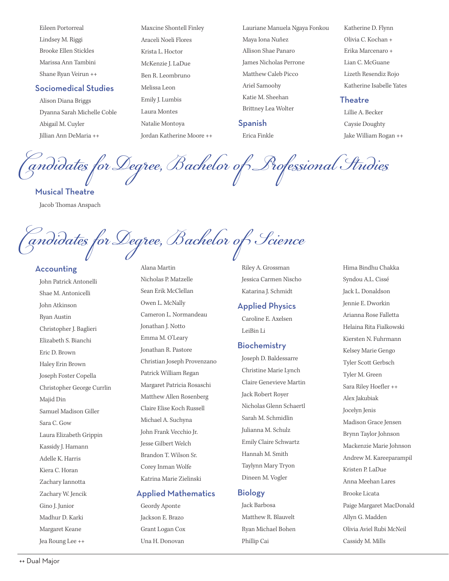Eileen Portorreal Maxcine Shontell Finley Lauriane Manuela Ngaya Fonkou Katherine D. Flynn

Dyanna Sarah Michelle Coble Laura Montes Brittney Lea Wolter Lillie A. Becker Abigail M. Cuyler **Natalie Montoya** Spanish Caysie Doughty Jillian Ann DeMaria ++ Jordan Katherine Moore ++ Erica Finkle Jake William Rogan ++

Lindsey M. Riggi Araceli Noeli Flores Maya Iona Nuñez Olivia C. Kochan + Brooke Ellen Stickles Krista L. Hoctor Allison Shae Panaro Erika Marcenaro + Marissa Ann Tambini McKenzie J. LaDue James Nicholas Perrone Lian C. McGuane Shane Ryan Veirun ++ Ben R. Leombruno Matthew Caleb Picco Lizeth Resendiz Rojo Sociomedical Studies Melissa Leon Ariel Samoohy Katherine Isabelle Yates<br>Katie M. Sheehan Katie M. Sheehan Theodys Alison Diana Briggs Emily J. Lumbis Katie M. Sheehan Theatre

Candidates for Degree, Bachelor of Professional Studies Musical Theatre

Jacob Thomas Anspach

<sup>T</sup>andidates for Degree, Bachelor of Science

Elizabeth S. Bianchi Eric D. Brown Haley Erin Brown Joseph Foster Copella Christopher George Currlin Majid Din Samuel Madison Giller Gino J. Junior Geordy Aponte Jack Barbosa Paige Margaret MacDonald Madhur D. Karki Jackson E. Brazo Matthew R. Blauvelt Allyn G. Madden Margaret Keane Grant Logan Cox Ryan Michael Bohen Olivia Aviel Rubi McNeil

John Patrick Antonelli Nicholas P. Matzelle Jessica Carmen Nischo Syndou A.L. Cissé Shae M. Antonicelli Sean Erik McClellan Katarina J. Schmidt Jack L. Donaldson John Atkinson Owen L. McNally Applied Physics Jennie E. Dworkin Ryan Austin Cameron L. Normandeau Caroline E. Axelsen Arianna Rose Falletta Christopher J. Baglieri Jonathan J. Notto LeiBin Li LeiBin Li Helaina Rita Fialkowski Emma M. O'Leary Jonathan R. Pastore **Biochemistry** Christian Joseph Provenzano Patrick William Regan Margaret Patricia Rosaschi Matthew Allen Rosenberg Claire Elise Koch Russell Sara C. Gow Michael A. Suchyna Sarah M. Schmidlin Madison Grace Jensen Laura Elizabeth Grippin John Frank Vecchio Jr. Julianna M. Schulz Brynn Taylor Johnson<br>International Brynn Taylor Johnson<br>International Brynn Taylor Johnson Kassidy J. Hamann Jesse Gilbert Welch Emily Claire Schwartz Mackenzie Marie Johnson Adelle K. Harris Brandon T. Wilson Sr. Hannah M. Smith Andrew M. Kareeparampil<br>Corey Inman Wolfe Taylynn Mary Tryon Kiera C. Horan Corey Inman Wolfe Taylynn Mary Tryon Kristen P. LaDue Zachary Iannotta Katrina Marie Zielinski Dineen M. Vogler Anna Meehan Lares

# Zachary W. Jencik **Applied Mathematics Biology** Brooke Licata

Accounting and Alana Martin Riley A. Grossman Hima Bindhu Chakka

Joseph D. Baldessarre Christine Marie Lynch Claire Genevieve Martin Jack Robert Royer Nicholas Glenn Schaertl

Jea Roung Lee ++ Una H. Donovan Phillip Cai Cassidy M. Mills

Kiersten N. Fuhrmann Kelsey Marie Gengo Tyler Scott Gerbsch Tyler M. Green Sara Riley Hoefler ++ Alex Jakubiak Jocelyn Jenis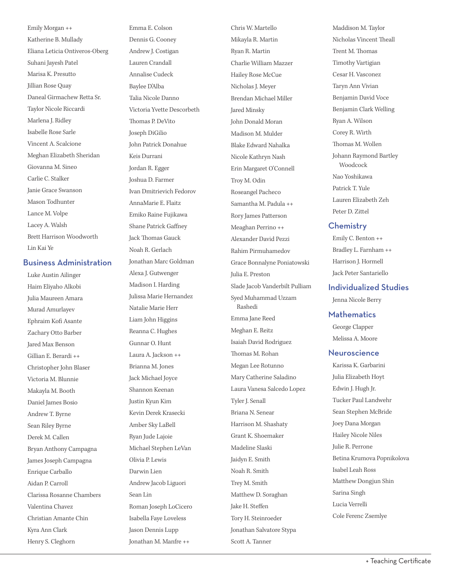Emily Morgan ++ Emma E. Colson Chris W. Martello Katherine B. Mullady Dennis G. Cooney Mikayla R. Martin Eliana Leticia Ontiveros-Oberg Andrew J. Costigan Ryan R. Martin Suhani Jayesh Patel Lauren Crandall Charlie William Mazzer Marisa K. Presutto Annalise Cudeck Hailey Rose McCue Jillian Rose Quay Baylee D'Alba Nicholas J. Meyer Daneal Girmachew Retta Sr. Talia Nicole Danno Brendan Michael Miller Taylor Nicole Riccardi Victoria Yvette Descorbeth Jared Minsky Marlena J. Ridley Thomas P. DeVito John Donald Moran Isabelle Rose Sarle **Ioseph DiGilio** Joseph DiGilio Madison M. Mulder Vincent A. Scalcione John Patrick Donahue Blake Edward Nahalka Meghan Elizabeth Sheridan Keis Durrani Nicole Kathryn Nash Giovanna M. Sineo Jordan R. Egger Erin Margaret O'Connell Carlie C. Stalker Joshua D. Farmer Troy M. Odin Janie Grace Swanson Ivan Dmitrievich Fedorov Roseangel Pacheco Mason Todhunter AnnaMarie E. Flaitz Samantha M. Padula ++ Lance M. Volpe Emiko Raine Fujikawa Rory James Patterson Lacey A. Walsh Shane Patrick Gaffney Meaghan Perrino ++ Brett Harrison Woodworth Jack Thomas Gauck Alexander David Pezzi

Lin Kai Ye Noah R. Gerlach R. Gerlach Rahim Pirmuhamedov **Business Administration** Jonathan Marc Goldman Grace Bonnalyne Poniatowski Luke Austin Ailinger Alexa J. Gutwenger Julia E. Preston Haim Eliyaho Alkobi Madison I. Harding Slade Jacob Vanderbilt Pulliam Julia Maureen Amara Julissa Marie Hernandez Syed Muhammad Uzzam Murad Amurlayev Natalie Marie Herr Rashedi Ephraim Kof Asante Liam John Higgins Emma Jane Reed Zachary Otto Barber Reanna C. Hughes Meghan E. Reitz Jared Max Benson Gunnar O. Hunt Isaiah David Rodriguez Gillian E. Berardi ++ Laura A. Jackson ++ Tomas M. Rohan Christopher John Blaser Brianna M. Jones Megan Lee Rotunno Victoria M. Blunnie Jack Michael Joyce Mary Catherine Saladino Makayla M. Booth Shannon Keenan Laura Vanesa Salcedo Lopez Daniel James Bosio Justin Kyun Kim Tyler J. Senall Andrew T. Byrne Kevin Derek Krasecki Briana N. Senear Sean Riley Byrne Amber Sky LaBell Harrison M. Shashaty Derek M. Callen Ryan Jude Lajoie Grant K. Shoemaker Bryan Anthony Campagna Michael Stephen LeVan Madeline Slaski James Joseph Campagna Olivia P. Lewis Jaidyn E. Smith Enrique Carballo Darwin Lien Noah R. Smith Aidan P. Carroll **Andrew Jacob Liguori** Trey M. Smith Clarissa Rosanne Chambers Sean Lin Matthew D. Soraghan Valentina Chavez Roman Joseph LoCicero Jake H. Stefen Christian Amante Chin Isabella Faye Loveless Tory H. Steinroeder Kyra Ann Clark Jason Dennis Lupp Jonathan Salvatore Stypa Henry S. Cleghorn Jonathan M. Manfre ++ Scott A. Tanner

Maddison M. Taylor Nicholas Vincent Theall Trent M. Thomas Timothy Vartigian Cesar H. Vasconez Taryn Ann Vivian Benjamin David Voce Benjamin Clark Welling Ryan A. Wilson Corey R. Wirth Thomas M. Wollen Johann Raymond Bartley Woodcock Nao Yoshikawa Patrick T. Yule Lauren Elizabeth Zeh Peter D. Zittel

### **Chemistry**

Emily C. Benton ++ Bradley L. Farnham ++ Harrison J. Hormell Jack Peter Santariello

### Individualized Studies

Jenna Nicole Berry

### **Mathematics**

George Clapper Melissa A. Moore

### **Neuroscience**

Karissa K. Garbarini Julia Elizabeth Hoyt Edwin J. Hugh Jr. Tucker Paul Landwehr Sean Stephen McBride Joey Dana Morgan Hailey Nicole Niles Julie R. Perrone Betina Krumova Popnikolova Isabel Leah Ross Matthew Dongjun Shin Sarina Singh Lucia Verrelli Cole Ferenc Zsemlye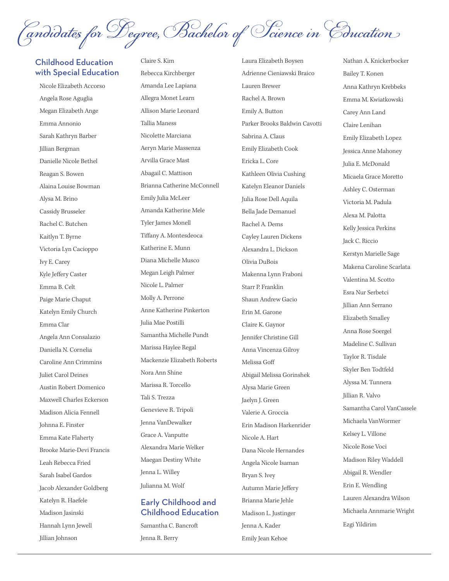(andidates for Degree, Bachelor of Science in Cducation

# Childhood Education Claire S. Kim Laura Elizabeth Boysen with Special Education Rebecca Kirchberger Adrienne Cieniawski Braico

Katelyn R. Haefele **Early Childhood and** Brianna Marie Jehle Hannah Lynn Jewell Samantha C. Bancroft Jenna A. Kader Jillian Johnson Jenna R. Berry Emily Jean Kehoe

Nicole Elizabeth Accorso Amanda Lee Lapiana Lauren Brewer Angela Rose Aguglia Allegra Monet Learn Rachel A. Brown Megan Elizabeth Ange Allison Marie Leonard Emily A. Button Sarah Kathryn Barber Nicolette Marciana Sabrina A. Claus Jillian Bergman Aeryn Marie Massenza Emily Elizabeth Cook Danielle Nicole Bethel Arvilla Grace Mast Ericka L. Core Reagan S. Bowen Abagail C. Mattison Kathleen Olivia Cushing Alaina Louise Bowman Brianna Catherine McConnell Katelyn Eleanor Daniels Alysa M. Brino Emily Julia McLeer Julia Rose Dell Aquila Cassidy Brusseler Amanda Katherine Mele Bella Jade Demanuel Rachel C. Butchen Tyler James Monell Rachel A. Dems Kaitlyn T. Byrne Tiffany A. Montesdeoca Cayley Lauren Dickens Victoria Lyn Cacioppo Katherine E. Munn Alexandra L. Dickson Ivy E. Carey Diana Michelle Musco Olivia DuBois Kyle Jeffery Caster Megan Leigh Palmer Makenna Lynn Fraboni Emma B. Celt Nicole L. Palmer Starr P. Franklin Paige Marie Chaput Molly A. Perrone Shaun Andrew Gacio Katelyn Emily Church Anne Katherine Pinkerton Erin M. Garone Emma Clar Julia Mae Postilli Claire K. Gaynor Angela Ann Consalazio Samantha Michelle Pundt Jennifer Christine Gill Daniella N. Cornelia Marissa Haylee Regal Anna Vincenza Gilroy Caroline Ann Crimmins Mackenzie Elizabeth Roberts Melissa Gof Juliet Carol Deines Nora Ann Shine Abigail Melissa Gorinshek Austin Robert Domenico Marissa R. Torcello Alysa Marie Green Maxwell Charles Eckerson Tali S. Trezza Jaelyn J. Green Madison Alicia Fennell Genevieve R. Tripoli Valerie A. Groccia Johnna E. Finster Jenna VanDewalker Erin Madison Harkenrider Emma Kate Flaherty Grace A. Vanputte Nicole A. Hart Brooke Marie-Devi Francis Alexandra Marie Welker Dana Nicole Hernandes Leah Rebecca Fried Maegan Destiny White Angela Nicole Isaman Sarah Isabel Gardos Jenna L. Willey Bryan S. Ivey Jacob Alexander Goldberg Julianna M. Wolf Autumn Marie Jefery

# Madison Jasinski **Childhood Education** Madison L. Justinger

Emma Annonio Tallia Maness Parker Brooks Baldwin Cavotti

Nathan A. Knickerbocker Bailey T. Konen Anna Kathryn Krebbeks Emma M. Kwiatkowski Carey Ann Land Claire Lenihan Emily Elizabeth Lopez Jessica Anne Mahoney Julia E. McDonald Micaela Grace Moretto Ashley C. Osterman Victoria M. Padula Alexa M. Palotta Kelly Jessica Perkins Jack C. Riccio Kerstyn Marielle Sage Makena Caroline Scarlata Valentina M. Scotto Esra Nur Serbetci Jillian Ann Serrano Elizabeth Smalley Anna Rose Soergel Madeline C. Sullivan Taylor R. Tisdale Skyler Ben Todtfeld Alyssa M. Tunnera Jillian R. Valvo Samantha Carol VanCassele Michaela VanWormer Kelsey L. Villone Nicole Rose Voci Madison Riley Waddell Abigail R. Wendler Erin E. Wendling Lauren Alexandra Wilson Michaela Annmarie Wright Ezgi Yildirim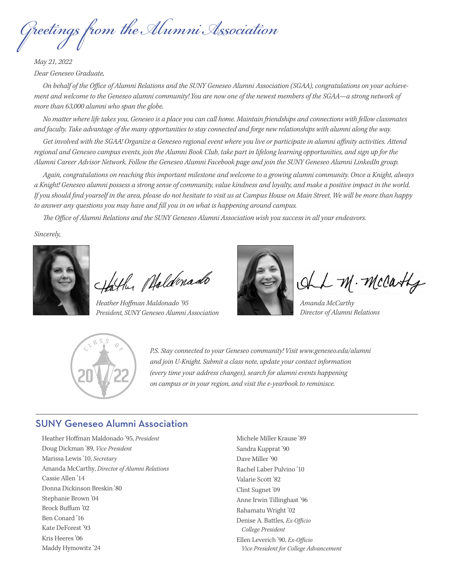Greetings from the Alumni Association

*May 21, 2022 Dear Geneseo Graduate,* 

On behalf of the Office of Alumni Relations and the SUNY Geneseo Alumni Association (SGAA), congratulations on your achieve*ment and welcome to the Geneseo alumni community! You are now one of the newest members of the SGAA—a strong network of more than 63,000 alumni who span the globe.* 

and faculty. Take advantage of the many opportunities to stay connected and forge new relationships with alumni along the way. *No matter where life takes you, Geneseo is a place you can call home. Maintain friendships and connections with fellow classmates* 

Get involved with the SGAA! Organize a Geneseo regional event where you live or participate in alumni affinity activities. Attend *regional and Geneseo campus events, join the Alumni Book Club, take part in lifelong learning opportunities, and sign up for the Alumni Career Advisor Network. Follow the Geneseo Alumni Facebook page and join the SUNY Geneseo Alumni LinkedIn group.* 

*Again, congratulations on reaching this important milestone and welcome to a growing alumni community. Once a Knight, always a Knight! Geneseo alumni possess a strong sense of community, value kindness and loyalty, and make a positive impact in the world. If you should fnd yourself in the area, please do not hesitate to visit us at Campus House on Main Street. We will be more than happy to answer any questions you may have and fll you in on what is happening around campus.* 

The Office of Alumni Relations and the SUNY Geneseo Alumni Association wish you success in all your endeavors.

*Sincerely,* 



Hather Phaldenado

*Heather Hofman Maldonado '95 Amanda McCarthy President, SUNY Geneseo Alumni Association Director of Alumni Relations* 



M. Mccashy



*P.S. Stay connected to your Geneseo community! Visit<www.geneseo.edu/alumni> and join U-Knight. Submit a class note, update your contact information (every time your address changes), search for alumni events happening on campus or in your region, and visit the e-yearbook to reminisce.* 

# SUNY Geneseo Alumni Association

Heather Hofman Maldonado '95, *President*  Doug Dickman '89, *Vice President*  Marissa Lewis '10, *Secretary*  Amanda McCarthy, *Director of Alumni Relations*  Cassie Allen '14 Donna Dickinson Breskin '80 Stephanie Brown '04 Brock Bufum '02 Ben Conard '16 Kate DeForest '93 Kris Heeres '06 Maddy Hymowitz '24

Michele Miller Krause '89 Sandra Kupprat '90 Dave Miller '90 Rachel Laber Pulvino '10 Valarie Scott '82 Clint Sugnet '09 Anne Irwin Tillinghast '96 Rahamatu Wright '02 Denise A. Battles, *Ex-Officio College President*  Ellen Leverich '90, *Ex-Officio Vice President for College Advancement*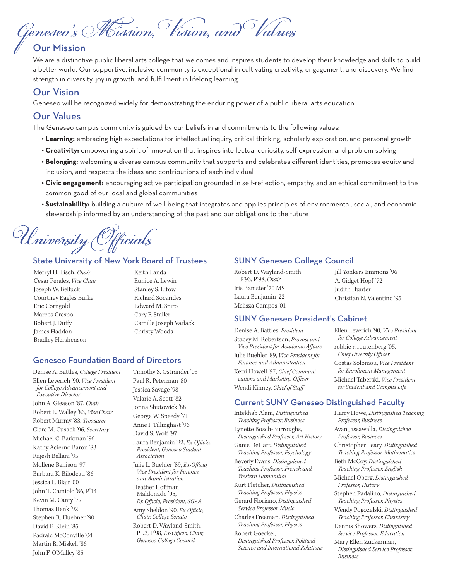Geneseo's Mision, Vision, and Values Our Mission

We are a distinctive public liberal arts college that welcomes and inspires students to develop their knowledge and skills to build a better world. Our supportive, inclusive community is exceptional in cultivating creativity, engagement, and discovery. We find strength in diversity, joy in growth, and fulfllment in lifelong learning.

# Our Vision

Geneseo will be recognized widely for demonstrating the enduring power of a public liberal arts education.

# Our Values

The Geneseo campus community is guided by our beliefs in and commitments to the following values:

- **Learning:** embracing high expectations for intellectual inquiry, critical thinking, scholarly exploration, and personal growth
- **Creativity:** empowering a spirit of innovation that inspires intellectual curiosity, self-expression, and problem-solving
- **Belonging:** welcoming a diverse campus community that supports and celebrates diferent identities, promotes equity and inclusion, and respects the ideas and contributions of each individual
- **Civic engagement:** encouraging active participation grounded in self-refection, empathy, and an ethical commitment to the common good of our local and global communities
- **Sustainability:** building a culture of well-being that integrates and applies principles of environmental, social, and economic stewardship informed by an understanding of the past and our obligations to the future

University Officials

### State University of New York Board of Trustees

Merryl H. Tisch, *Chair* **Keith Landa** Cesar Perales, *Vice Chair* **Eunice A. Lewin** Joseph W. Belluck Stanley S. Litow Courtney Eagles Burke Richard Socarides Eric Corngold Edward M. Spiro Marcos Crespo Cary F. Staller Robert J. Duffy Camille Joseph Varlack James Haddon Christy Woods Bradley Hershenson

### Geneseo Foundation Board of Directors

Denise A. Battles, *College President*  Ellen Leverich '90, *Vice President for College Advancement and Executive Director*  John A. Gleason '87, *Chair*  Robert E. Walley '83, *Vice Chair*  Robert Murray '83, *Treasurer*  Clare M. Cusack '96, *Secretary*  Michael C. Barkman '96 Kathy Acierno Baron '83 Rajesh Bellani '95 Mollene Benison '97 Barbara K. Bilodeau '86 Jessica L. Blair '00 John T. Camiolo '86, P'14 Kevin M. Canty '77 Thomas Henk '92 Stephen R. Huebner '90 David E. Klein '85 Padraic McConville '04 Martin R. Miskell '86 John F. O'Malley '85

Timothy S. Ostrander '03 Paul R. Peterman '80 Jessica Savage '98 Valarie A. Scott '82 Jonna Shutowick '88 George W. Speedy '71 Anne I. Tillinghast '96 David S. Wolf '97 Laura Benjamin '22, *Ex-Officio*, *President, Geneseo Student Association*  Julie L. Buehler '89, *Ex-Officio*, *Vice President for Finance and Administration*  Heather Hofman Maldonado '95,  $Ex$ -Officio, President, SGAA Amy Sheldon '90, *Ex-Officio*, *Chair, College Senate*  Robert D. Wayland-Smith, P'93, P'98, *Ex-Officio*, *Chair*, *Geneseo College Council* 

# SUNY Geneseo College Council

| Robert D. Wayland-Smith |
|-------------------------|
| P'93, P'98, Chair       |
| Iris Banister '70 MS    |
| Laura Benjamin '22      |
| Melisza Campos '01      |

Jill Yonkers Emmons '96 A. Gidget Hopf '72 Judith Hunter Christian N. Valentino '95

### SUNY Geneseo President's Cabinet

Denise A. Battles, *President* Ellen Leverich '90, *Vice President*  Stacey M. Robertson, *Provost and* for College Advancement<br>Vice President for Academic Affairs robbie r. routenberg '05, *Vice President for Academic Affairs* Julie Buehler '89, *Vice President for Chief Diversity Officer*<br>*Finance and Administration* Costas Solomou, *Vice* Kerri Howell '97, *Chief Communi- for Enrollment Management*   $\alpha$ *cations and Marketing Officer* Michael Taberski, *Vice President* Wendi Kinney, *Chief of Staff* for Student and Campus Life

# *Finance and Administration* Costas Solomou, *Vice President*

### Current SUNY Geneseo Distinguished Faculty

Intekhab Alam, *Distinguished Teaching Professor, Business*  Lynette Bosch-Burroughs, *Distinguished Professor, Art History*  Ganie DeHart, *Distinguished Teaching Professor, Psychology*  Beverly Evans, *Distinguished Teaching Professor, French and Western Humanities*  Kurt Fletcher, *Distinguished Teaching Professor, Physics*  Gerard Floriano, *Distinguished Service Professor, Music*  Charles Freeman, *Distinguished Teaching Professor, Physics*  Robert Goeckel, *Distinguished Professor, Political Science and International Relations* 

Harry Howe, *Distinguished Teaching Professor, Business*  Avan Jassawalla, *Distinguished Professor, Business*  Christopher Leary, *Distinguished Teaching Professor, Mathematics*  Beth McCoy, *Distinguished Teaching Professor, English*  Michael Oberg, *Distinguished Professor, History*  Stephen Padalino, *Distinguished Teaching Professor, Physics*  Wendy Pogozelski, *Distinguished Teaching Professor, Chemistry*  Dennis Showers, *Distinguished Service Professor, Education*  Mary Ellen Zuckerman, *Distinguished Service Professor,* 

*Business*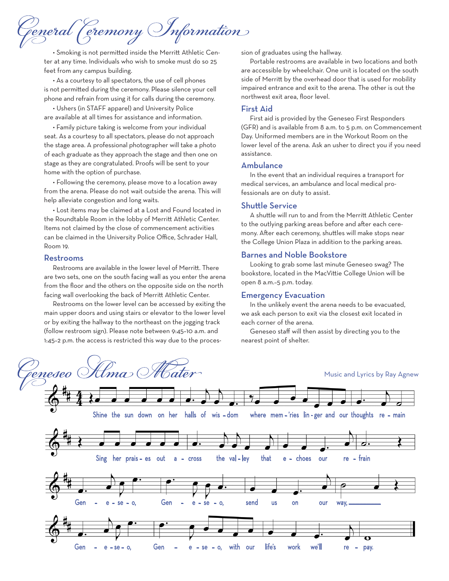deneral (cremony Information)

• Smoking is not permited inside the Merrit Athletic Center at any time. Individuals who wish to smoke must do so 25 feet from any campus building.

• As a courtesy to all spectators, the use of cell phones is not permited during the ceremony. Please silence your cell phone and refrain from using it for calls during the ceremony.

• Ushers (in STAFF apparel) and University Police are available at all times for assistance and information.

• Family picture taking is welcome from your individual seat. As a courtesy to all spectators, please do not approach the stage area. A professional photographer will take a photo of each graduate as they approach the stage and then one on stage as they are congratulated. Proofs will be sent to your home with the option of purchase.

• Following the ceremony, please move to a location away from the arena. Please do not wait outside the arena. This will help alleviate congestion and long waits.

• Lost items may be claimed at a Lost and Found located in the Roundtable Room in the lobby of Merritt Athletic Center. Items not claimed by the close of commencement activities can be claimed in the University Police Office, Schrader Hall, Room 19.

### Restrooms

Restrooms are available in the lower level of Merrit. There are two sets, one on the south facing wall as you enter the arena from the foor and the others on the opposite side on the north facing wall overlooking the back of Merritt Athletic Center.

Restrooms on the lower level can be accessed by exiting the main upper doors and using stairs or elevator to the lower level or by exiting the hallway to the northeast on the jogging track (follow restroom sign). Please note between 9:45–10 a.m. and 1:45–2 p.m. the access is restricted this way due to the procession of graduates using the hallway.

Portable restrooms are available in two locations and both are accessible by wheelchair. One unit is located on the south side of Merritt by the overhead door that is used for mobility impaired entrance and exit to the arena. The other is out the northwest exit area, floor level.

### First Aid

 (GFR) and is available from 8 a.m. to 5 p.m. on Commencement First aid is provided by the Geneseo First Responders Day. Uniformed members are in the Workout Room on the lower level of the arena. Ask an usher to direct you if you need assistance.

### Ambulance

In the event that an individual requires a transport for medical services, an ambulance and local medical professionals are on duty to assist.

### Shutle Service

A shutle will run to and from the Merrit Athletic Center to the outlying parking areas before and after each ceremony. Afer each ceremony, shutles will make stops near the College Union Plaza in addition to the parking areas.

### Barnes and Noble Bookstore

Looking to grab some last minute Geneseo swag? The bookstore, located in the MacVitie College Union will be open 8 a.m.–5 p.m. today.

### Emergency Evacuation

In the unlikely event the arena needs to be evacuated, we ask each person to exit via the closest exit located in each corner of the arena.

Geneseo staff will then assist by directing you to the nearest point of shelter.

Hma Floter éeneseo Music and Lyrics by Ray Agnew Shine the sun down on her halls of wis – dom where mem – 'ries lin - ger and our thoughts re – main Sing her prais – es out a – cross the val – ley that e – choes our re – frain Gen – e – se – o, Gen – e – se – o, send us on our way, \_\_\_\_\_\_\_\_\_\_\_\_\_\_\_\_\_\_\_\_ Gen – e – se – o, Gen – e – se – o, with our life's work we'll re – pay.